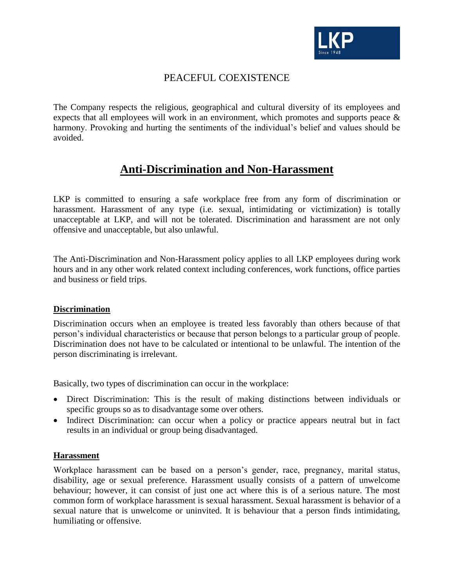

## PEACEFUL COEXISTENCE

The Company respects the religious, geographical and cultural diversity of its employees and expects that all employees will work in an environment, which promotes and supports peace & harmony. Provoking and hurting the sentiments of the individual's belief and values should be avoided.

# **Anti-Discrimination and Non-Harassment**

LKP is committed to ensuring a safe workplace free from any form of discrimination or harassment. Harassment of any type (i.e. sexual, intimidating or victimization) is totally unacceptable at LKP, and will not be tolerated. Discrimination and harassment are not only offensive and unacceptable, but also unlawful.

The Anti-Discrimination and Non-Harassment policy applies to all LKP employees during work hours and in any other work related context including conferences, work functions, office parties and business or field trips.

#### **Discrimination**

Discrimination occurs when an employee is treated less favorably than others because of that person's individual characteristics or because that person belongs to a particular group of people. Discrimination does not have to be calculated or intentional to be unlawful. The intention of the person discriminating is irrelevant.

Basically, two types of discrimination can occur in the workplace:

- Direct Discrimination: This is the result of making distinctions between individuals or specific groups so as to disadvantage some over others.
- Indirect Discrimination: can occur when a policy or practice appears neutral but in fact results in an individual or group being disadvantaged.

#### **Harassment**

Workplace harassment can be based on a person's gender, race, pregnancy, marital status, disability, age or sexual preference. Harassment usually consists of a pattern of unwelcome behaviour; however, it can consist of just one act where this is of a serious nature. The most common form of workplace harassment is sexual harassment. Sexual harassment is behavior of a sexual nature that is unwelcome or uninvited. It is behaviour that a person finds intimidating, humiliating or offensive.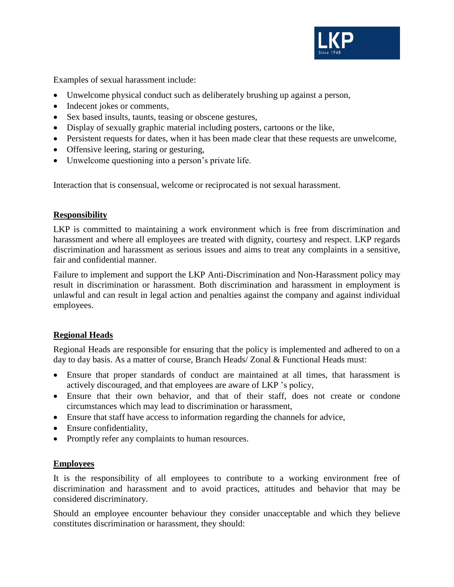

Examples of sexual harassment include:

- Unwelcome physical conduct such as deliberately brushing up against a person,
- Indecent jokes or comments,
- Sex based insults, taunts, teasing or obscene gestures,
- Display of sexually graphic material including posters, cartoons or the like,
- Persistent requests for dates, when it has been made clear that these requests are unwelcome,
- Offensive leering, staring or gesturing,
- Unwelcome questioning into a person's private life.

Interaction that is consensual, welcome or reciprocated is not sexual harassment.

#### **Responsibility**

LKP is committed to maintaining a work environment which is free from discrimination and harassment and where all employees are treated with dignity, courtesy and respect. LKP regards discrimination and harassment as serious issues and aims to treat any complaints in a sensitive, fair and confidential manner.

Failure to implement and support the LKP Anti-Discrimination and Non-Harassment policy may result in discrimination or harassment. Both discrimination and harassment in employment is unlawful and can result in legal action and penalties against the company and against individual employees.

## **Regional Heads**

Regional Heads are responsible for ensuring that the policy is implemented and adhered to on a day to day basis. As a matter of course, Branch Heads/ Zonal & Functional Heads must:

- Ensure that proper standards of conduct are maintained at all times, that harassment is actively discouraged, and that employees are aware of LKP 's policy,
- Ensure that their own behavior, and that of their staff, does not create or condone circumstances which may lead to discrimination or harassment,
- Ensure that staff have access to information regarding the channels for advice,
- Ensure confidentiality,
- Promptly refer any complaints to human resources.

## **Employees**

It is the responsibility of all employees to contribute to a working environment free of discrimination and harassment and to avoid practices, attitudes and behavior that may be considered discriminatory.

Should an employee encounter behaviour they consider unacceptable and which they believe constitutes discrimination or harassment, they should: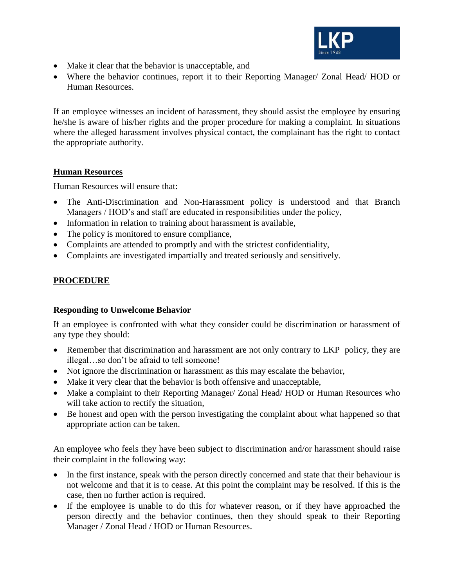

- Make it clear that the behavior is unacceptable, and
- Where the behavior continues, report it to their Reporting Manager/ Zonal Head/ HOD or Human Resources.

If an employee witnesses an incident of harassment, they should assist the employee by ensuring he/she is aware of his/her rights and the proper procedure for making a complaint. In situations where the alleged harassment involves physical contact, the complainant has the right to contact the appropriate authority.

#### **Human Resources**

Human Resources will ensure that:

- The Anti-Discrimination and Non-Harassment policy is understood and that Branch Managers / HOD's and staff are educated in responsibilities under the policy,
- Information in relation to training about harassment is available,
- The policy is monitored to ensure compliance,
- Complaints are attended to promptly and with the strictest confidentiality,
- Complaints are investigated impartially and treated seriously and sensitively.

## **PROCEDURE**

## **Responding to Unwelcome Behavior**

If an employee is confronted with what they consider could be discrimination or harassment of any type they should:

- Remember that discrimination and harassment are not only contrary to LKP policy, they are illegal…so don't be afraid to tell someone!
- Not ignore the discrimination or harassment as this may escalate the behavior,
- Make it very clear that the behavior is both offensive and unacceptable,
- Make a complaint to their Reporting Manager/ Zonal Head/ HOD or Human Resources who will take action to rectify the situation,
- Be honest and open with the person investigating the complaint about what happened so that appropriate action can be taken.

An employee who feels they have been subject to discrimination and/or harassment should raise their complaint in the following way:

- In the first instance, speak with the person directly concerned and state that their behaviour is not welcome and that it is to cease. At this point the complaint may be resolved. If this is the case, then no further action is required.
- If the employee is unable to do this for whatever reason, or if they have approached the person directly and the behavior continues, then they should speak to their Reporting Manager / Zonal Head / HOD or Human Resources.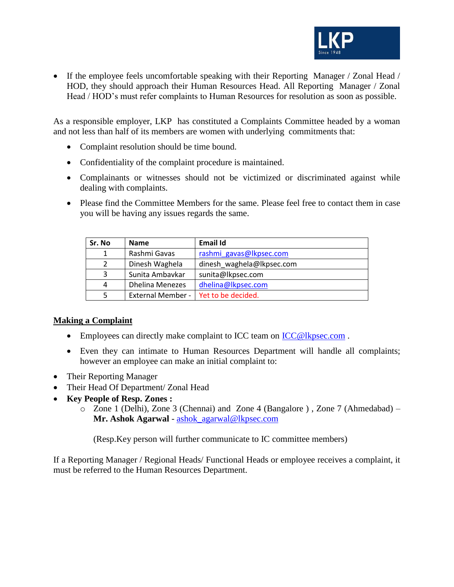

• If the employee feels uncomfortable speaking with their Reporting Manager / Zonal Head / HOD, they should approach their Human Resources Head. All Reporting Manager / Zonal Head / HOD's must refer complaints to Human Resources for resolution as soon as possible.

As a responsible employer, LKP has constituted a Complaints Committee headed by a woman and not less than half of its members are women with underlying commitments that:

- Complaint resolution should be time bound.
- Confidentiality of the complaint procedure is maintained.
- Complainants or witnesses should not be victimized or discriminated against while dealing with complaints.
- Please find the Committee Members for the same. Please feel free to contact them in case you will be having any issues regards the same.

| Sr. No         | <b>Name</b>              | Email Id                  |
|----------------|--------------------------|---------------------------|
| 1              | Rashmi Gavas             | rashmi gavas@lkpsec.com   |
| $\overline{2}$ | Dinesh Waghela           | dinesh waghela@lkpsec.com |
| 3              | Sunita Ambavkar          | sunita@lkpsec.com         |
| 4              | <b>Dhelina Menezes</b>   | dhelina@lkpsec.com        |
| 5              | <b>External Member -</b> | Yet to be decided.        |

## **Making a Complaint**

- Employees can directly make complaint to ICC team on [ICC@lkpsec.com](mailto:ICC@lkpsec.com).
- Even they can intimate to Human Resources Department will handle all complaints; however an employee can make an initial complaint to:
- Their Reporting Manager
- Their Head Of Department/ Zonal Head
- **Key People of Resp. Zones :**
	- o Zone 1 (Delhi), Zone 3 (Chennai) and Zone 4 (Bangalore ) , Zone 7 (Ahmedabad) **Mr. Ashok Agarwal** - [ashok\\_agarwal@lkpsec.com](mailto:ashok_agarwal@lkpsec.com)

(Resp.Key person will further communicate to IC committee members)

If a Reporting Manager / Regional Heads/ Functional Heads or employee receives a complaint, it must be referred to the Human Resources Department.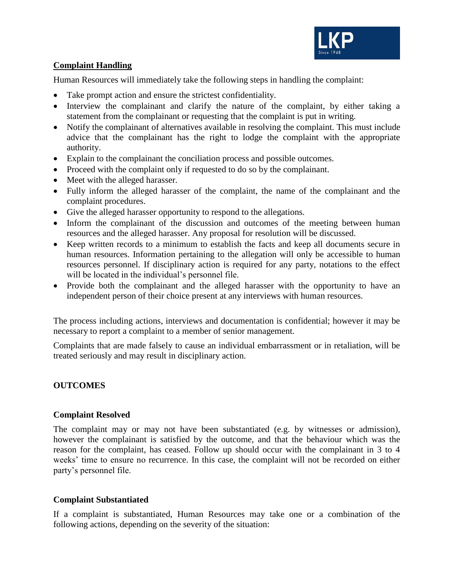

## **Complaint Handling**

Human Resources will immediately take the following steps in handling the complaint:

- Take prompt action and ensure the strictest confidentiality.
- Interview the complainant and clarify the nature of the complaint, by either taking a statement from the complainant or requesting that the complaint is put in writing.
- Notify the complainant of alternatives available in resolving the complaint. This must include advice that the complainant has the right to lodge the complaint with the appropriate authority.
- Explain to the complainant the conciliation process and possible outcomes.
- Proceed with the complaint only if requested to do so by the complainant.
- Meet with the alleged harasser.
- Fully inform the alleged harasser of the complaint, the name of the complainant and the complaint procedures.
- Give the alleged harasser opportunity to respond to the allegations.
- Inform the complainant of the discussion and outcomes of the meeting between human resources and the alleged harasser. Any proposal for resolution will be discussed.
- Keep written records to a minimum to establish the facts and keep all documents secure in human resources. Information pertaining to the allegation will only be accessible to human resources personnel. If disciplinary action is required for any party, notations to the effect will be located in the individual's personnel file.
- Provide both the complainant and the alleged harasser with the opportunity to have an independent person of their choice present at any interviews with human resources.

The process including actions, interviews and documentation is confidential; however it may be necessary to report a complaint to a member of senior management.

Complaints that are made falsely to cause an individual embarrassment or in retaliation, will be treated seriously and may result in disciplinary action.

## **OUTCOMES**

#### **Complaint Resolved**

The complaint may or may not have been substantiated (e.g. by witnesses or admission), however the complainant is satisfied by the outcome, and that the behaviour which was the reason for the complaint, has ceased. Follow up should occur with the complainant in 3 to 4 weeks' time to ensure no recurrence. In this case, the complaint will not be recorded on either party's personnel file.

#### **Complaint Substantiated**

If a complaint is substantiated, Human Resources may take one or a combination of the following actions, depending on the severity of the situation: